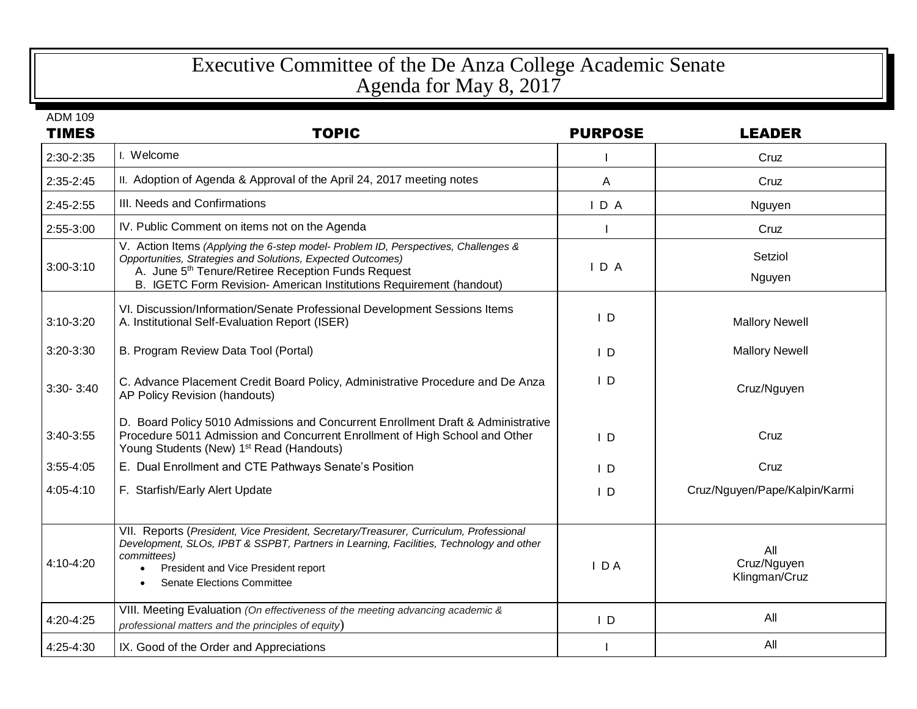## Executive Committee of the De Anza College Academic Senate Agenda for May 8, 2017

| <b>TIMES</b>  | <b>TOPIC</b>                                                                                                                                                                                                                                                                               | <b>PURPOSE</b> | <b>LEADER</b>                       |
|---------------|--------------------------------------------------------------------------------------------------------------------------------------------------------------------------------------------------------------------------------------------------------------------------------------------|----------------|-------------------------------------|
| 2:30-2:35     | I. Welcome                                                                                                                                                                                                                                                                                 |                | Cruz                                |
| 2:35-2:45     | II. Adoption of Agenda & Approval of the April 24, 2017 meeting notes                                                                                                                                                                                                                      | Α              | Cruz                                |
| 2:45-2:55     | III. Needs and Confirmations                                                                                                                                                                                                                                                               | IDA            | Nguyen                              |
| 2:55-3:00     | IV. Public Comment on items not on the Agenda                                                                                                                                                                                                                                              |                | Cruz                                |
| $3:00-3:10$   | V. Action Items (Applying the 6-step model- Problem ID, Perspectives, Challenges &<br>Opportunities, Strategies and Solutions, Expected Outcomes)<br>A. June 5 <sup>th</sup> Tenure/Retiree Reception Funds Request<br>B. IGETC Form Revision- American Institutions Requirement (handout) | IDA            | Setziol<br>Nguyen                   |
| $3:10-3:20$   | VI. Discussion/Information/Senate Professional Development Sessions Items<br>A. Institutional Self-Evaluation Report (ISER)                                                                                                                                                                | $\mathsf{I}$ D | <b>Mallory Newell</b>               |
| 3:20-3:30     | B. Program Review Data Tool (Portal)                                                                                                                                                                                                                                                       | $\mathsf{I}$ D | <b>Mallory Newell</b>               |
| $3:30 - 3:40$ | C. Advance Placement Credit Board Policy, Administrative Procedure and De Anza<br>AP Policy Revision (handouts)                                                                                                                                                                            | $\mathsf{I}$ D | Cruz/Nguyen                         |
| 3:40-3:55     | D. Board Policy 5010 Admissions and Concurrent Enrollment Draft & Administrative<br>Procedure 5011 Admission and Concurrent Enrollment of High School and Other<br>Young Students (New) 1 <sup>st</sup> Read (Handouts)                                                                    | $\mathsf{I}$ D | Cruz                                |
| $3:55 - 4:05$ | E. Dual Enrollment and CTE Pathways Senate's Position                                                                                                                                                                                                                                      | $\mathsf{I}$ D | Cruz                                |
| $4:05 - 4:10$ | F. Starfish/Early Alert Update                                                                                                                                                                                                                                                             | $\mathsf{I}$ D | Cruz/Nguyen/Pape/Kalpin/Karmi       |
| 4:10-4:20     | VII. Reports (President, Vice President, Secretary/Treasurer, Curriculum, Professional<br>Development, SLOs, IPBT & SSPBT, Partners in Learning, Facilities, Technology and other<br>committees)<br>President and Vice President report<br><b>Senate Elections Committee</b>               | $I$ DA         | All<br>Cruz/Nguyen<br>Klingman/Cruz |
| 4:20-4:25     | VIII. Meeting Evaluation (On effectiveness of the meeting advancing academic &<br>professional matters and the principles of equity)                                                                                                                                                       | $\mathsf{I}$ D | All                                 |
| 4:25-4:30     | IX. Good of the Order and Appreciations                                                                                                                                                                                                                                                    |                | All                                 |